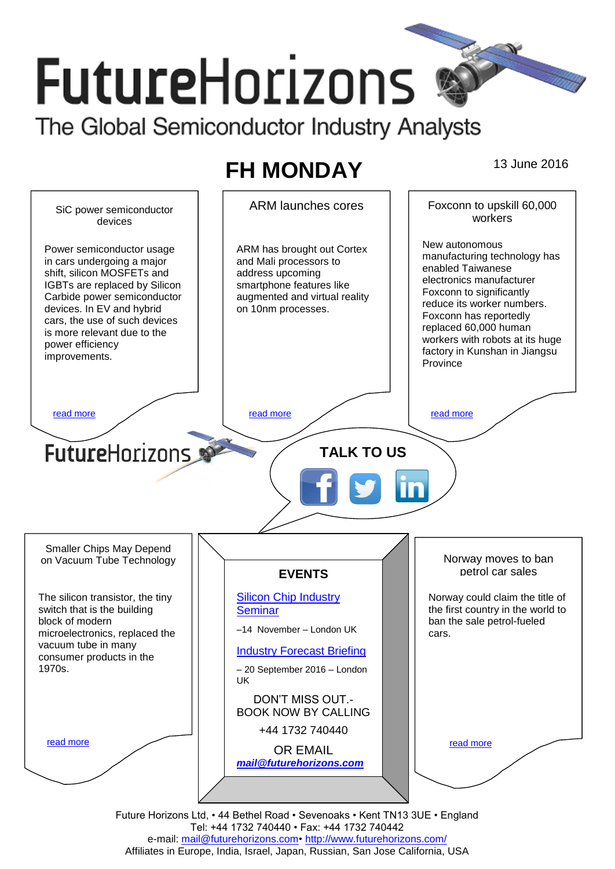# **FutureHorizons** The Global Semiconductor Industry Analysts

# **FH MONDAY** 13 June 2016



Future Horizons Ltd, • 44 Bethel Road • Sevenoaks • Kent TN13 3UE • England Tel: +44 1732 740440 • Fax: +44 1732 740442 e-mail: mail@futurehorizons.com• http://www.futurehorizons.com/ Affiliates in Europe, India, Israel, Japan, Russian, San Jose California, USA